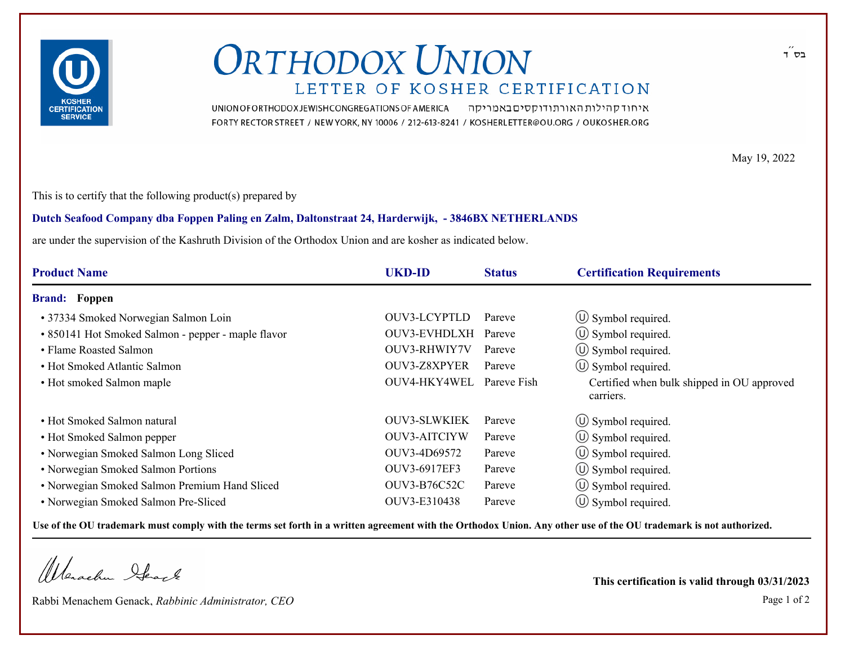

## **ORTHODOX UNION** LETTER OF KOSHER CERTIFICATION

UNION OF ORTHODOX JEWISH CONGREGATIONS OF AMERICA איחוד קהילות האורתודוקסים באמריקה FORTY RECTOR STREET / NEW YORK, NY 10006 / 212-613-8241 / KOSHERLETTER@OU.ORG / OUKOSHER.ORG

May 19, 2022

This is to certify that the following product(s) prepared by

## **Dutch Seafood Company dba Foppen Paling en Zalm, Daltonstraat 24, Harderwijk, - 3846BX NETHERLANDS**

are under the supervision of the Kashruth Division of the Orthodox Union and are kosher as indicated below.

| <b>Product Name</b>                                | <b>UKD-ID</b>       | <b>Status</b> | <b>Certification Requirements</b>                       |  |
|----------------------------------------------------|---------------------|---------------|---------------------------------------------------------|--|
| <b>Brand:</b> Foppen                               |                     |               |                                                         |  |
| • 37334 Smoked Norwegian Salmon Loin               | OUV3-LCYPTLD        | Pareve        | $\circ$ Symbol required.                                |  |
| • 850141 Hot Smoked Salmon - pepper - maple flavor | OUV3-EVHDLXH        | Pareve        | $\circ$ Symbol required.                                |  |
| • Flame Roasted Salmon                             | OUV3-RHWIY7V        | Pareve        | $\circled{1}$ Symbol required.                          |  |
| • Hot Smoked Atlantic Salmon                       | OUV3-Z8XPYER        | Pareve        | $\circ$ Symbol required.                                |  |
| • Hot smoked Salmon maple                          | OUV4-HKY4WEL        | Pareve Fish   | Certified when bulk shipped in OU approved<br>carriers. |  |
| • Hot Smoked Salmon natural                        | <b>OUV3-SLWKIEK</b> | Pareve        | $\circled{1}$ Symbol required.                          |  |
| • Hot Smoked Salmon pepper                         | <b>OUV3-AITCIYW</b> | Pareve        | $\circ$ Symbol required.                                |  |
| • Norwegian Smoked Salmon Long Sliced              | OUV3-4D69572        | Pareve        | $\circ$ Symbol required.                                |  |
| • Norwegian Smoked Salmon Portions                 | OUV3-6917EF3        | Pareve        | $\circ$ Symbol required.                                |  |
| • Norwegian Smoked Salmon Premium Hand Sliced      | <b>OUV3-B76C52C</b> | Pareve        | $\left(\bigcup$ Symbol required.                        |  |
| • Norwegian Smoked Salmon Pre-Sliced               | OUV3-E310438        | Pareve        | $\circled{1}$ Symbol required.                          |  |

**Use of the OU trademark must comply with the terms set forth in a written agreement with the Orthodox Union. Any other use of the OU trademark is not authorized.**

Werachen Stack

Rabbi Menachem Genack, *Rabbinic Administrator, CEO* Page 1 of 2

**This certification is valid through 03/31/2023**